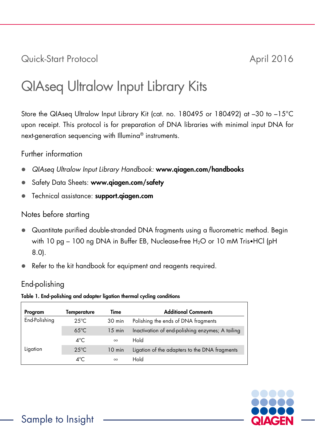Quick-Start Protocol April 2016

# QIAseq Ultralow Input Library Kits

Store the QIAseq Ultralow Input Library Kit (cat. no. 180495 or 180492) at –30 to –15°C upon receipt. This protocol is for preparation of DNA libraries with minimal input DNA for next-generation sequencing with Illumina® instruments.

### Further information

- *QIAseq Ultralow Input Library Handbook:* www.qiagen.com/handbooks
- Safety Data Sheets: www.qiagen.com/safety
- **•** Technical assistance: support.giagen.com

# Notes before starting

- Quantitate purified double-stranded DNA fragments using a fluorometric method. Begin with 10 pg – 100 ng DNA in Buffer EB, Nuclease-free H<sub>2</sub>O or 10 mM Tris•HCl (pH 8.0).
- Refer to the kit handbook for equipment and reagents required.

# End-polishing

Table 1. End-polishing and adapter ligation thermal cycling conditions

| Program       | Temperature    | Time             | <b>Additional Comments</b>                       |
|---------------|----------------|------------------|--------------------------------------------------|
| End-Polishing | $25^{\circ}$ C | 30 min           | Polishing the ends of DNA fragments              |
|               | $65^{\circ}$ C | $15 \text{ min}$ | Inactivation of end-polishing enzymes; A tailing |
|               | $4^{\circ}$ C  | $\infty$         | Hold                                             |
| Ligation      | $25^{\circ}$ C | $10 \text{ min}$ | Ligation of the adapters to the DNA fragments    |
|               | ⊿°C            | $\infty$         | Hold                                             |

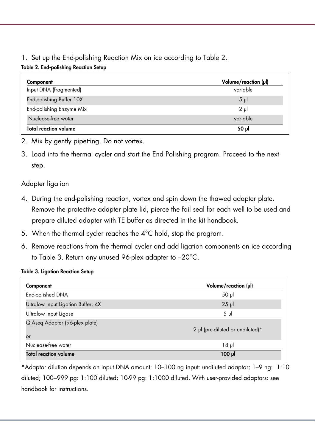# 1. Set up the End-polishing Reaction Mix on ice according to Table 2.

#### Table 2. End-polishing Reaction Setup

| Component                    | Volume/reaction (µl) |
|------------------------------|----------------------|
| Input DNA (fragmented)       | variable             |
| End-polishing Buffer 10X     | $5 \mu$              |
| End-polishing Enzyme Mix     | $2 \mu$              |
| Nuclease-free water          | variable             |
| <b>Total reaction volume</b> | 50 µl                |

- 2. Mix by gently pipetting. Do not vortex.
- 3. Load into the thermal cycler and start the End Polishing program. Proceed to the next step.

# Adapter ligation

- 4. During the end-polishing reaction, vortex and spin down the thawed adapter plate. Remove the protective adapter plate lid, pierce the foil seal for each well to be used and prepare diluted adapter with TE buffer as directed in the kit handbook.
- 5. When the thermal cycler reaches the 4°C hold, stop the program.
- 6. Remove reactions from the thermal cycler and add ligation components on ice according to Table 3. Return any unused 96-plex adapter to –20°C.

#### Table 3. Ligation Reaction Setup

| Component                            | Volume/reaction (µl)             |
|--------------------------------------|----------------------------------|
| End-polished DNA                     | $50$ $\mu$                       |
| Ultralow Input Ligation Buffer, 4X   | $25$ $\mu$                       |
| Ultralow Input Ligase                | $5 \mu$                          |
| QIAseg Adapter (96-plex plate)<br>or | 2 µl (pre-diluted or undiluted)* |
| Nuclease-free water                  | 18µ                              |
| <b>Total reaction volume</b>         | $100$ pl                         |

\*Adaptor dilution depends on input DNA amount: 10–100 ng input: undiluted adaptor; 1–9 ng: 1:10 diluted; 100–999 pg: 1:100 diluted; 10-99 pg: 1:1000 diluted. With user-provided adaptors: see handbook for instructions.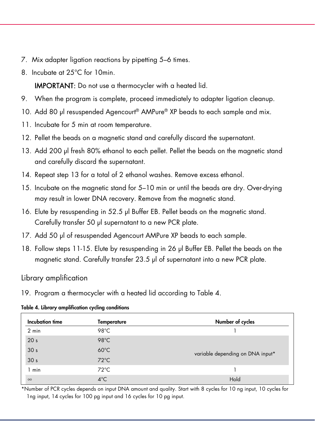- 7. Mix adapter ligation reactions by pipetting 5–6 times.
- 8. Incubate at 25°C for 10min.

IMPORTANT: Do not use a thermocycler with a heated lid.

- 9. When the program is complete, proceed immediately to adapter ligation cleanup.
- 10. Add 80 µl resuspended Agencourt® AMPure® XP beads to each sample and mix.
- 11. Incubate for 5 min at room temperature.
- 12. Pellet the beads on a magnetic stand and carefully discard the supernatant.
- 13. Add 200 µl fresh 80% ethanol to each pellet. Pellet the beads on the magnetic stand and carefully discard the supernatant.
- 14. Repeat step 13 for a total of 2 ethanol washes. Remove excess ethanol.
- 15. Incubate on the magnetic stand for 5–10 min or until the beads are dry. Over-drying may result in lower DNA recovery. Remove from the magnetic stand.
- 16. Elute by resuspending in 52.5 µl Buffer EB. Pellet beads on the magnetic stand. Carefully transfer 50 µl supernatant to a new PCR plate.
- 17. Add 50 µl of resuspended Agencourt AMPure XP beads to each sample.
- 18. Follow steps 11-15. Elute by resuspending in 26 µl Buffer EB. Pellet the beads on the magnetic stand. Carefully transfer 23.5 µl of supernatant into a new PCR plate.

Library amplification

19. Program a thermocycler with a heated lid according to Table 4.

#### Table 4. Library amplification cycling conditions

| Incubation time | <b>Temperature</b> | Number of cycles                 |
|-----------------|--------------------|----------------------------------|
| $2 \text{ min}$ | 98°C               |                                  |
| 20 <sub>s</sub> | $98^{\circ}$ C     |                                  |
| 30 <sub>s</sub> | $60^{\circ}$ C     | variable depending on DNA input* |
| 30 <sub>s</sub> | $72^{\circ}$ C     |                                  |
| min             | $72^{\circ}$ C     |                                  |
| $\infty$        | $4^{\circ}$ C      | Hold                             |

\*Number of PCR cycles depends on input DNA amount and quality. Start with 8 cycles for 10 ng input, 10 cycles for 1ng input, 14 cycles for 100 pg input and 16 cycles for 10 pg input.